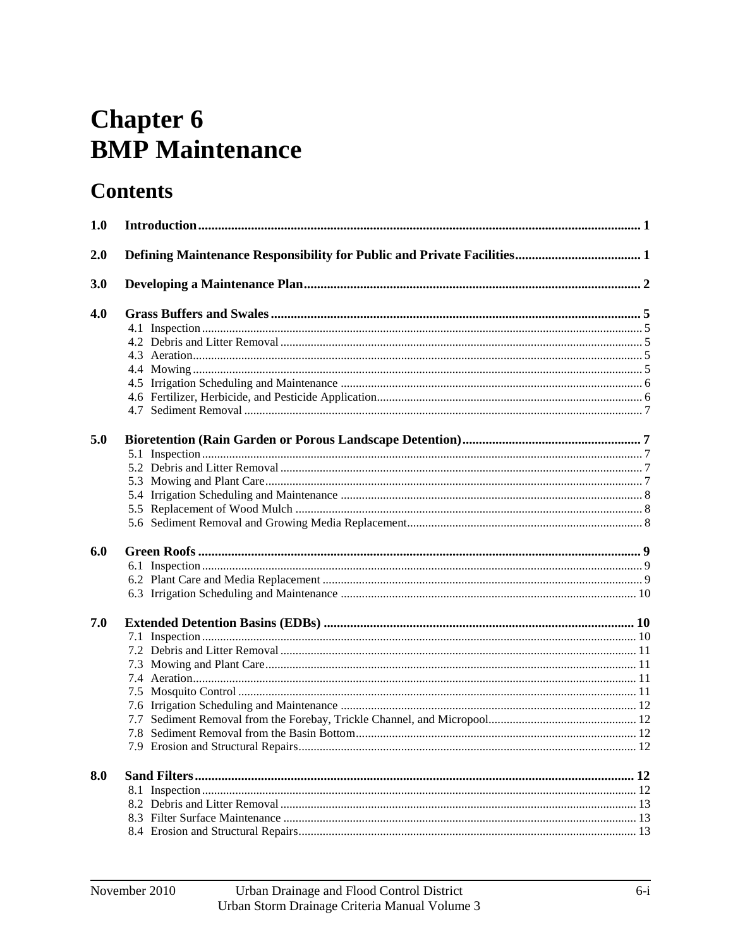# **Chapter 6 BMP** Maintenance

# **Contents**

| 1.0 |  |
|-----|--|
| 2.0 |  |
| 3.0 |  |
| 4.0 |  |
|     |  |
|     |  |
|     |  |
|     |  |
|     |  |
|     |  |
|     |  |
| 5.0 |  |
|     |  |
|     |  |
|     |  |
|     |  |
|     |  |
|     |  |
| 6.0 |  |
|     |  |
|     |  |
|     |  |
| 7.0 |  |
|     |  |
|     |  |
|     |  |
|     |  |
|     |  |
|     |  |
|     |  |
|     |  |
|     |  |
| 8.0 |  |
|     |  |
|     |  |
|     |  |
|     |  |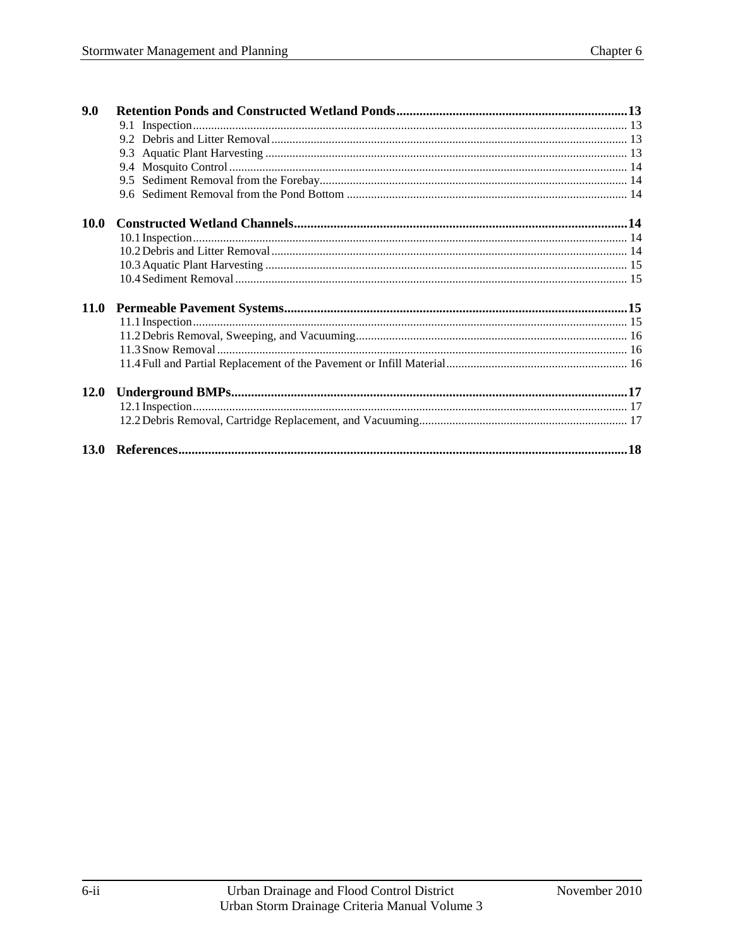| 9.0         |  |
|-------------|--|
|             |  |
|             |  |
|             |  |
|             |  |
|             |  |
|             |  |
| <b>10.0</b> |  |
|             |  |
|             |  |
|             |  |
|             |  |
|             |  |
|             |  |
|             |  |
|             |  |
|             |  |
|             |  |
| <b>12.0</b> |  |
|             |  |
|             |  |
|             |  |
| 13.0        |  |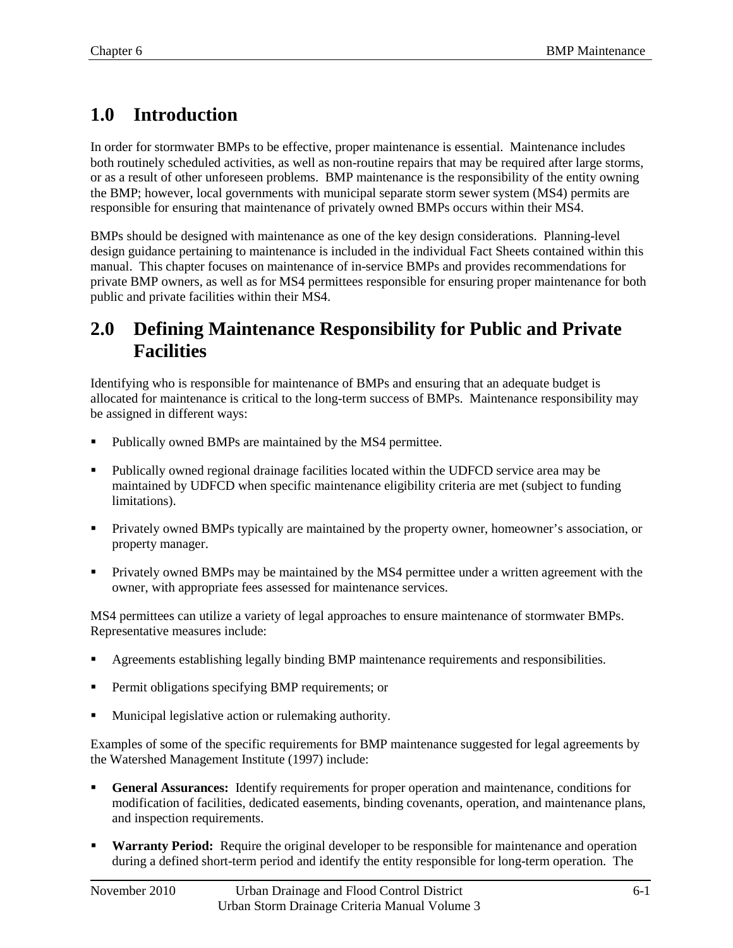# <span id="page-2-0"></span>**1.0 Introduction**

In order for stormwater BMPs to be effective, proper maintenance is essential. Maintenance includes both routinely scheduled activities, as well as non-routine repairs that may be required after large storms, or as a result of other unforeseen problems. BMP maintenance is the responsibility of the entity owning the BMP; however, local governments with municipal separate storm sewer system (MS4) permits are responsible for ensuring that maintenance of privately owned BMPs occurs within their MS4.

BMPs should be designed with maintenance as one of the key design considerations. Planning-level design guidance pertaining to maintenance is included in the individual Fact Sheets contained within this manual. This chapter focuses on maintenance of in-service BMPs and provides recommendations for private BMP owners, as well as for MS4 permittees responsible for ensuring proper maintenance for both public and private facilities within their MS4.

### <span id="page-2-1"></span>**2.0 Defining Maintenance Responsibility for Public and Private Facilities**

Identifying who is responsible for maintenance of BMPs and ensuring that an adequate budget is allocated for maintenance is critical to the long-term success of BMPs. Maintenance responsibility may be assigned in different ways:

- Publically owned BMPs are maintained by the MS4 permittee.
- Publically owned regional drainage facilities located within the UDFCD service area may be maintained by UDFCD when specific maintenance eligibility criteria are met (subject to funding limitations).
- Privately owned BMPs typically are maintained by the property owner, homeowner's association, or property manager.
- **Privately owned BMPs may be maintained by the MS4 permittee under a written agreement with the** owner, with appropriate fees assessed for maintenance services.

MS4 permittees can utilize a variety of legal approaches to ensure maintenance of stormwater BMPs. Representative measures include:

- Agreements establishing legally binding BMP maintenance requirements and responsibilities.
- **Permit obligations specifying BMP requirements; or**
- **Municipal legislative action or rulemaking authority.**

Examples of some of the specific requirements for BMP maintenance suggested for legal agreements by the Watershed Management Institute (1997) include:

- **General Assurances:** Identify requirements for proper operation and maintenance, conditions for modification of facilities, dedicated easements, binding covenants, operation, and maintenance plans, and inspection requirements.
- **Warranty Period:** Require the original developer to be responsible for maintenance and operation during a defined short-term period and identify the entity responsible for long-term operation. The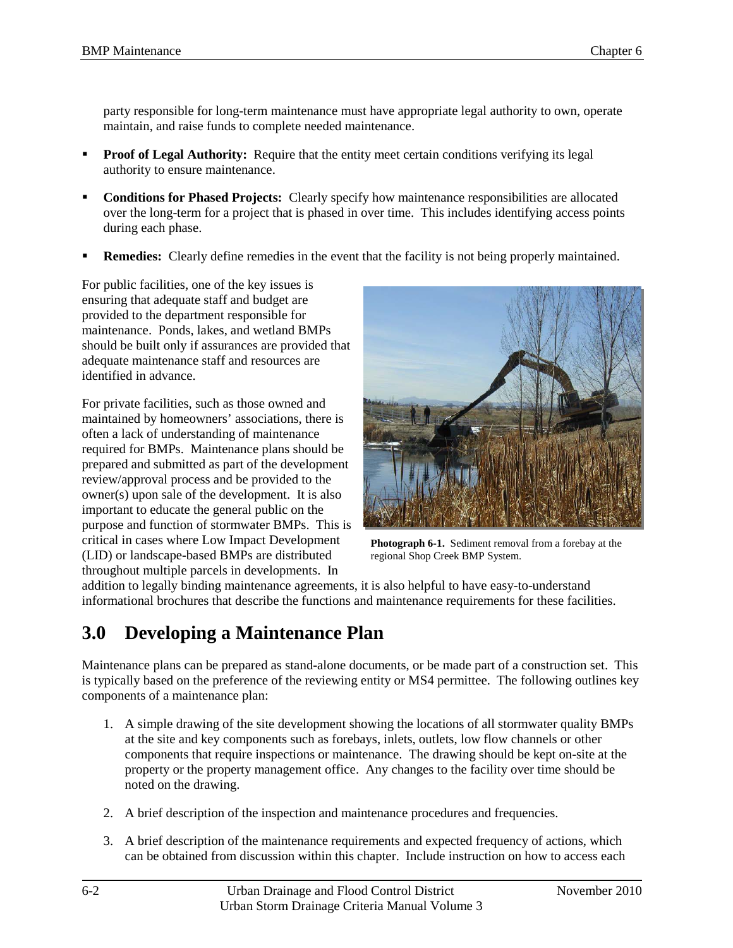party responsible for long-term maintenance must have appropriate legal authority to own, operate maintain, and raise funds to complete needed maintenance.

- **Proof of Legal Authority:** Require that the entity meet certain conditions verifying its legal authority to ensure maintenance.
- **Conditions for Phased Projects:** Clearly specify how maintenance responsibilities are allocated over the long-term for a project that is phased in over time. This includes identifying access points during each phase.
- **Remedies:** Clearly define remedies in the event that the facility is not being properly maintained.

For public facilities, one of the key issues is ensuring that adequate staff and budget are provided to the department responsible for maintenance. Ponds, lakes, and wetland BMPs should be built only if assurances are provided that adequate maintenance staff and resources are identified in advance.

For private facilities, such as those owned and maintained by homeowners' associations, there is often a lack of understanding of maintenance required for BMPs. Maintenance plans should be prepared and submitted as part of the development review/approval process and be provided to the owner(s) upon sale of the development. It is also important to educate the general public on the purpose and function of stormwater BMPs. This is critical in cases where Low Impact Development (LID) or landscape-based BMPs are distributed throughout multiple parcels in developments. In



**Photograph 6-1.** Sediment removal from a forebay at the regional Shop Creek BMP System.

addition to legally binding maintenance agreements, it is also helpful to have easy-to-understand informational brochures that describe the functions and maintenance requirements for these facilities.

### <span id="page-3-0"></span>**3.0 Developing a Maintenance Plan**

Maintenance plans can be prepared as stand-alone documents, or be made part of a construction set. This is typically based on the preference of the reviewing entity or MS4 permittee. The following outlines key components of a maintenance plan:

- 1. A simple drawing of the site development showing the locations of all stormwater quality BMPs at the site and key components such as forebays, inlets, outlets, low flow channels or other components that require inspections or maintenance. The drawing should be kept on-site at the property or the property management office. Any changes to the facility over time should be noted on the drawing.
- 2. A brief description of the inspection and maintenance procedures and frequencies.
- 3. A brief description of the maintenance requirements and expected frequency of actions, which can be obtained from discussion within this chapter. Include instruction on how to access each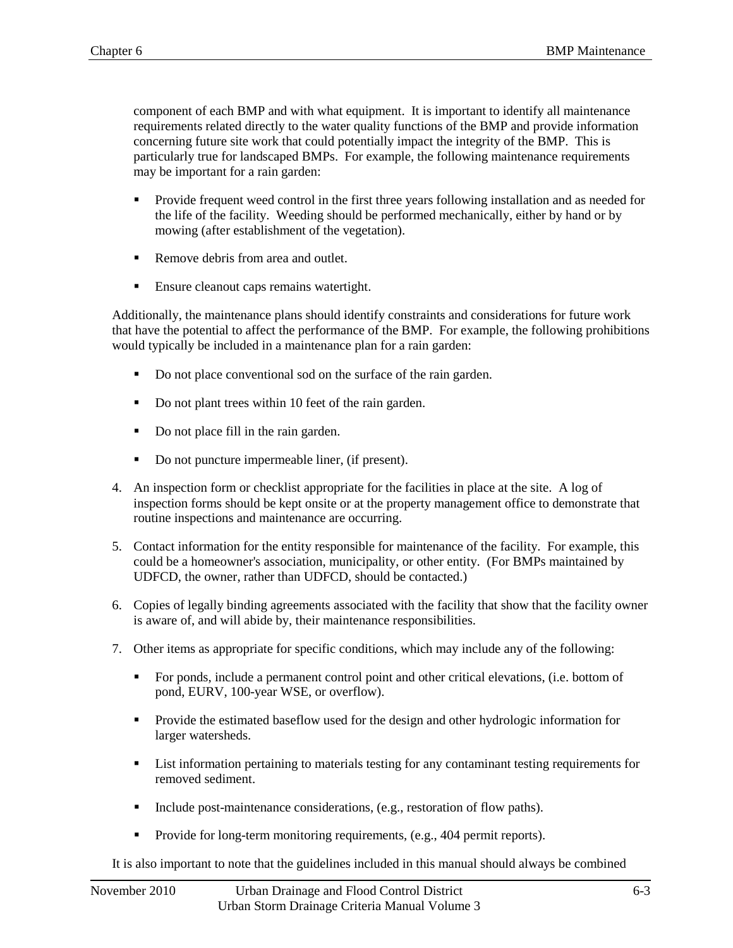component of each BMP and with what equipment. It is important to identify all maintenance requirements related directly to the water quality functions of the BMP and provide information concerning future site work that could potentially impact the integrity of the BMP. This is particularly true for landscaped BMPs. For example, the following maintenance requirements may be important for a rain garden:

- **Provide frequent weed control in the first three years following installation and as needed for** the life of the facility. Weeding should be performed mechanically, either by hand or by mowing (after establishment of the vegetation).
- Remove debris from area and outlet.
- **Ensure cleanout caps remains watertight.**

Additionally, the maintenance plans should identify constraints and considerations for future work that have the potential to affect the performance of the BMP. For example, the following prohibitions would typically be included in a maintenance plan for a rain garden:

- Do not place conventional sod on the surface of the rain garden.
- Do not plant trees within 10 feet of the rain garden.
- Do not place fill in the rain garden.
- Do not puncture impermeable liner, (if present).
- 4. An inspection form or checklist appropriate for the facilities in place at the site. A log of inspection forms should be kept onsite or at the property management office to demonstrate that routine inspections and maintenance are occurring.
- 5. Contact information for the entity responsible for maintenance of the facility. For example, this could be a homeowner's association, municipality, or other entity. (For BMPs maintained by UDFCD, the owner, rather than UDFCD, should be contacted.)
- 6. Copies of legally binding agreements associated with the facility that show that the facility owner is aware of, and will abide by, their maintenance responsibilities.
- 7. Other items as appropriate for specific conditions, which may include any of the following:
	- For ponds, include a permanent control point and other critical elevations, (i.e. bottom of pond, EURV, 100-year WSE, or overflow).
	- **Provide the estimated baseflow used for the design and other hydrologic information for** larger watersheds.
	- List information pertaining to materials testing for any contaminant testing requirements for removed sediment.
	- Include post-maintenance considerations, (e.g., restoration of flow paths).
	- **Provide for long-term monitoring requirements, (e.g., 404 permit reports).**

It is also important to note that the guidelines included in this manual should always be combined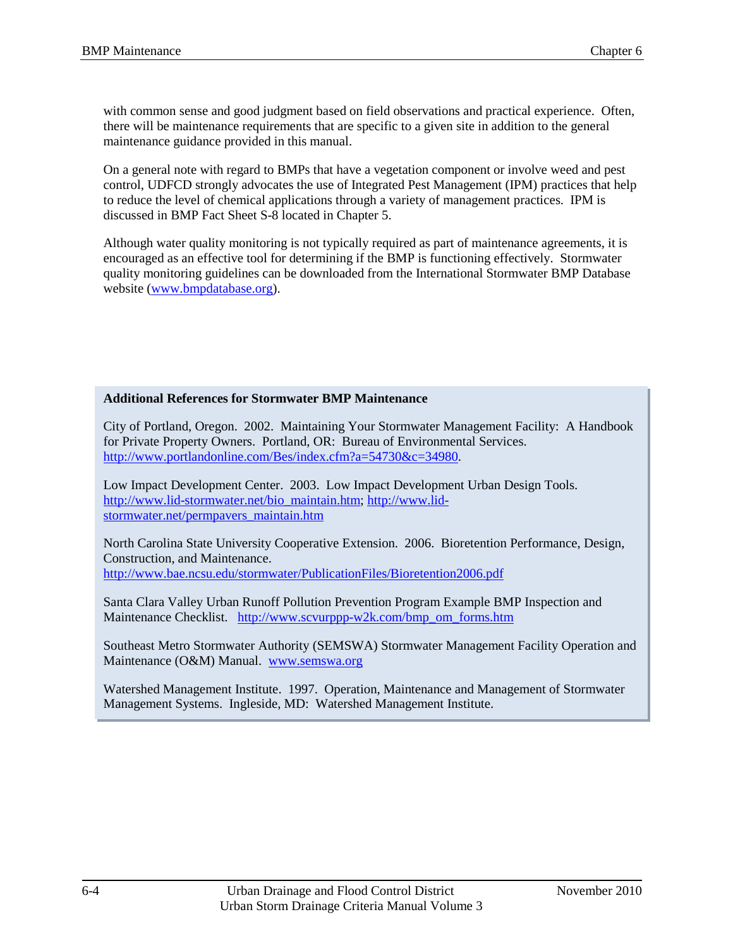with common sense and good judgment based on field observations and practical experience. Often, there will be maintenance requirements that are specific to a given site in addition to the general maintenance guidance provided in this manual.

On a general note with regard to BMPs that have a vegetation component or involve weed and pest control, UDFCD strongly advocates the use of Integrated Pest Management (IPM) practices that help to reduce the level of chemical applications through a variety of management practices. IPM is discussed in BMP Fact Sheet S-8 located in Chapter 5.

Although water quality monitoring is not typically required as part of maintenance agreements, it is encouraged as an effective tool for determining if the BMP is functioning effectively. Stormwater quality monitoring guidelines can be downloaded from the International Stormwater BMP Database website [\(www.bmpdatabase.org\)](http://www.bmpdatabase.org/).

#### **Additional References for Stormwater BMP Maintenance**

City of Portland, Oregon. 2002. Maintaining Your Stormwater Management Facility: A Handbook for Private Property Owners. Portland, OR: Bureau of Environmental Services. [http://www.portlandonline.com/Bes/index.cfm?a=54730&c=34980.](http://www.portlandonline.com/Bes/index.cfm?a=54730&c=34980)

Low Impact Development Center. 2003. Low Impact Development Urban Design Tools. [http://www.lid-stormwater.net/bio\\_maintain.htm;](http://www.lid-stormwater.net/bio_maintain.htm) [http://www.lid](http://www.lid-stormwater.net/permpavers_maintain.htm)[stormwater.net/permpavers\\_maintain.htm](http://www.lid-stormwater.net/permpavers_maintain.htm) 

North Carolina State University Cooperative Extension. 2006. Bioretention Performance, Design, Construction, and Maintenance. <http://www.bae.ncsu.edu/stormwater/PublicationFiles/Bioretention2006.pdf>

Santa Clara Valley Urban Runoff Pollution Prevention Program Example BMP Inspection and Maintenance Checklist. [http://www.scvurppp-w2k.com/bmp\\_om\\_forms.htm](http://www.scvurppp-w2k.com/bmp_om_forms.htm)

Southeast Metro Stormwater Authority (SEMSWA) Stormwater Management Facility Operation and Maintenance (O&M) Manual. [www.semswa.org](http://www.semswa.org/)

Watershed Management Institute. 1997. Operation, Maintenance and Management of Stormwater Management Systems. Ingleside, MD: Watershed Management Institute.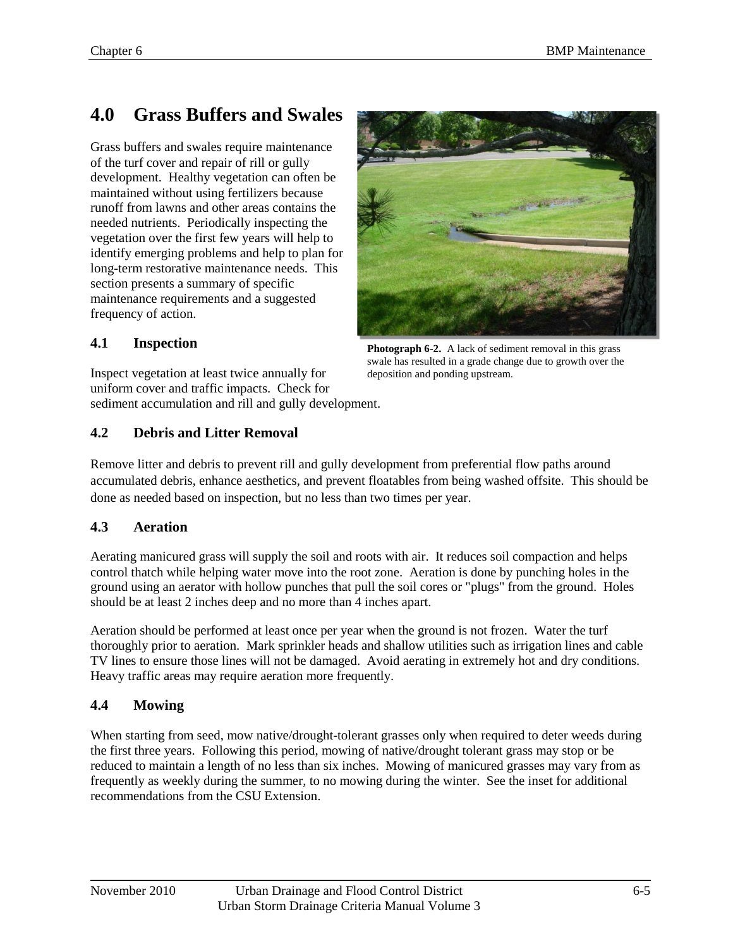# <span id="page-6-0"></span>**4.0 Grass Buffers and Swales**

Grass buffers and swales require maintenance of the turf cover and repair of rill or gully development. Healthy vegetation can often be maintained without using fertilizers because runoff from lawns and other areas contains the needed nutrients. Periodically inspecting the vegetation over the first few years will help to identify emerging problems and help to plan for long-term restorative maintenance needs. This section presents a summary of specific maintenance requirements and a suggested frequency of action.



#### <span id="page-6-1"></span>**4.1 Inspection**

swale has resulted in a grade change due to growth over the deposition and ponding upstream. Inspect vegetation at least twice annually for uniform cover and traffic impacts. Check for sediment accumulation and rill and gully development.

#### <span id="page-6-2"></span>**4.2 Debris and Litter Removal**

Remove litter and debris to prevent rill and gully development from preferential flow paths around accumulated debris, enhance aesthetics, and prevent floatables from being washed offsite. This should be done as needed based on inspection, but no less than two times per year.

#### <span id="page-6-3"></span>**4.3 Aeration**

Aerating manicured grass will supply the soil and roots with air. It reduces soil compaction and helps control thatch while helping water move into the root zone. Aeration is done by punching holes in the ground using an aerator with hollow punches that pull the soil cores or "plugs" from the ground. Holes should be at least 2 inches deep and no more than 4 inches apart.

Aeration should be performed at least once per year when the ground is not frozen. Water the turf thoroughly prior to aeration. Mark sprinkler heads and shallow utilities such as irrigation lines and cable TV lines to ensure those lines will not be damaged. Avoid aerating in extremely hot and dry conditions. Heavy traffic areas may require aeration more frequently.

#### <span id="page-6-4"></span>**4.4 Mowing**

When starting from seed, mow native/drought-tolerant grasses only when required to deter weeds during the first three years. Following this period, mowing of native/drought tolerant grass may stop or be reduced to maintain a length of no less than six inches. Mowing of manicured grasses may vary from as frequently as weekly during the summer, to no mowing during the winter. See the inset for additional recommendations from the CSU Extension.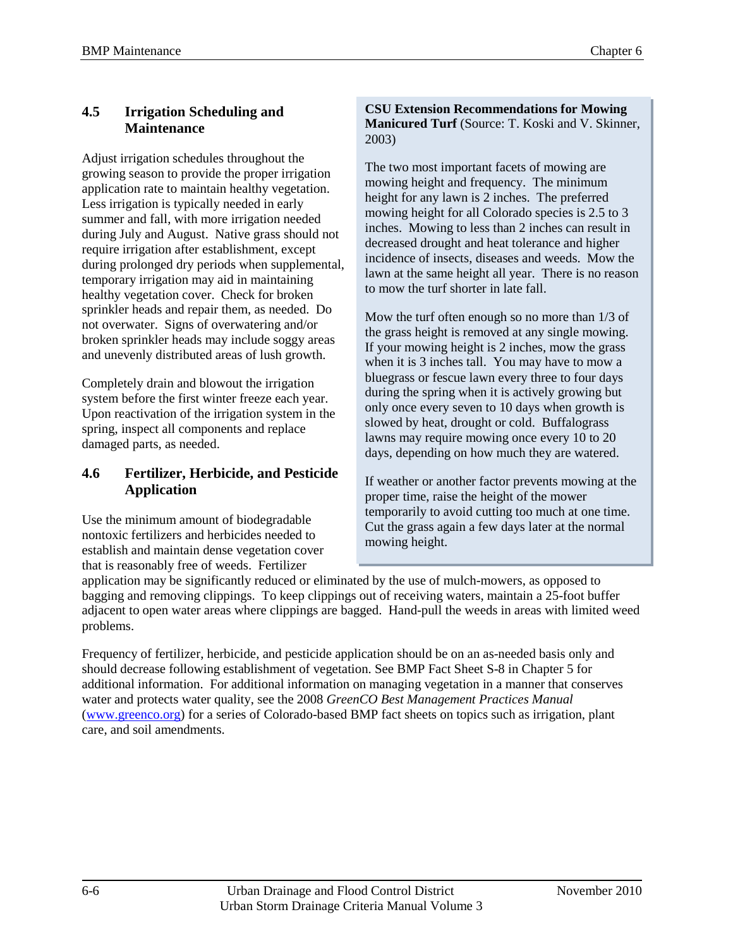#### <span id="page-7-0"></span>**4.5 Irrigation Scheduling and Maintenance**

Adjust irrigation schedules throughout the growing season to provide the proper irrigation application rate to maintain healthy vegetation. Less irrigation is typically needed in early summer and fall, with more irrigation needed during July and August. Native grass should not require irrigation after establishment, except during prolonged dry periods when supplemental, temporary irrigation may aid in maintaining healthy vegetation cover. Check for broken sprinkler heads and repair them, as needed. Do not overwater. Signs of overwatering and/or broken sprinkler heads may include soggy areas and unevenly distributed areas of lush growth.

Completely drain and blowout the irrigation system before the first winter freeze each year. Upon reactivation of the irrigation system in the spring, inspect all components and replace damaged parts, as needed.

#### <span id="page-7-1"></span>**4.6 Fertilizer, Herbicide, and Pesticide Application**

Use the minimum amount of biodegradable nontoxic fertilizers and herbicides needed to establish and maintain dense vegetation cover that is reasonably free of weeds. Fertilizer

**CSU Extension Recommendations for Mowing Manicured Turf** (Source: T. Koski and V. Skinner, 2003)

The two most important facets of mowing are mowing height and frequency. The minimum height for any lawn is 2 inches. The preferred mowing height for all Colorado species is 2.5 to 3 inches. Mowing to less than 2 inches can result in decreased drought and heat tolerance and higher incidence of insects, diseases and weeds. Mow the lawn at the same height all year. There is no reason to mow the turf shorter in late fall.

Mow the turf often enough so no more than 1/3 of the grass height is removed at any single mowing. If your mowing height is 2 inches, mow the grass when it is 3 inches tall. You may have to mow a bluegrass or fescue lawn every three to four days during the spring when it is actively growing but only once every seven to 10 days when growth is slowed by heat, drought or cold. Buffalograss lawns may require mowing once every 10 to 20 days, depending on how much they are watered.

If weather or another factor prevents mowing at the proper time, raise the height of the mower temporarily to avoid cutting too much at one time. Cut the grass again a few days later at the normal mowing height.

application may be significantly reduced or eliminated by the use of mulch-mowers, as opposed to bagging and removing clippings. To keep clippings out of receiving waters, maintain a 25-foot buffer adjacent to open water areas where clippings are bagged. Hand-pull the weeds in areas with limited weed problems.

Frequency of fertilizer, herbicide, and pesticide application should be on an as-needed basis only and should decrease following establishment of vegetation. See BMP Fact Sheet S-8 in Chapter 5 for additional information. For additional information on managing vegetation in a manner that conserves water and protects water quality, see the 2008 *GreenCO Best Management Practices Manual* [\(www.greenco.org\)](http://www.greenco.org/) for a series of Colorado-based BMP fact sheets on topics such as irrigation, plant care, and soil amendments.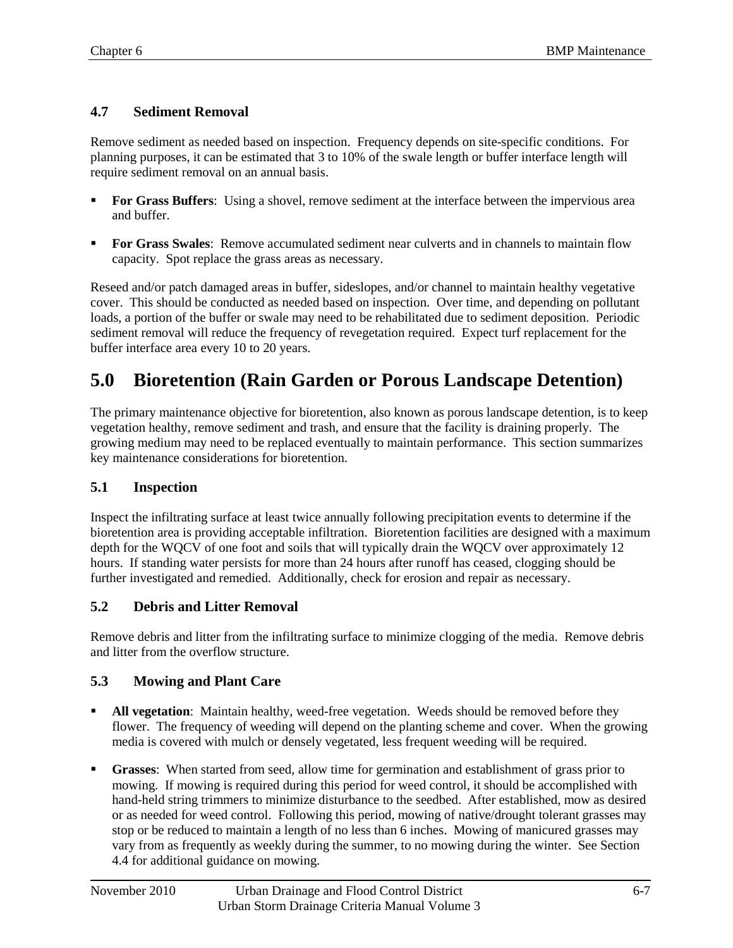#### <span id="page-8-0"></span>**4.7 Sediment Removal**

Remove sediment as needed based on inspection. Frequency depends on site-specific conditions. For planning purposes, it can be estimated that 3 to 10% of the swale length or buffer interface length will require sediment removal on an annual basis.

- **For Grass Buffers**: Using a shovel, remove sediment at the interface between the impervious area and buffer.
- **For Grass Swales:** Remove accumulated sediment near culverts and in channels to maintain flow capacity. Spot replace the grass areas as necessary.

Reseed and/or patch damaged areas in buffer, sideslopes, and/or channel to maintain healthy vegetative cover. This should be conducted as needed based on inspection. Over time, and depending on pollutant loads, a portion of the buffer or swale may need to be rehabilitated due to sediment deposition. Periodic sediment removal will reduce the frequency of revegetation required. Expect turf replacement for the buffer interface area every 10 to 20 years.

# <span id="page-8-1"></span>**5.0 Bioretention (Rain Garden or Porous Landscape Detention)**

The primary maintenance objective for bioretention, also known as porous landscape detention, is to keep vegetation healthy, remove sediment and trash, and ensure that the facility is draining properly. The growing medium may need to be replaced eventually to maintain performance. This section summarizes key maintenance considerations for bioretention.

#### <span id="page-8-2"></span>**5.1 Inspection**

Inspect the infiltrating surface at least twice annually following precipitation events to determine if the bioretention area is providing acceptable infiltration. Bioretention facilities are designed with a maximum depth for the WQCV of one foot and soils that will typically drain the WQCV over approximately 12 hours. If standing water persists for more than 24 hours after runoff has ceased, clogging should be further investigated and remedied. Additionally, check for erosion and repair as necessary.

#### <span id="page-8-3"></span>**5.2 Debris and Litter Removal**

Remove debris and litter from the infiltrating surface to minimize clogging of the media. Remove debris and litter from the overflow structure.

#### <span id="page-8-4"></span>**5.3 Mowing and Plant Care**

- **All vegetation**: Maintain healthy, weed-free vegetation. Weeds should be removed before they flower. The frequency of weeding will depend on the planting scheme and cover. When the growing media is covered with mulch or densely vegetated, less frequent weeding will be required.
- **Grasses**: When started from seed, allow time for germination and establishment of grass prior to mowing. If mowing is required during this period for weed control, it should be accomplished with hand-held string trimmers to minimize disturbance to the seedbed. After established, mow as desired or as needed for weed control. Following this period, mowing of native/drought tolerant grasses may stop or be reduced to maintain a length of no less than 6 inches. Mowing of manicured grasses may vary from as frequently as weekly during the summer, to no mowing during the winter. See Section 4.4 for additional guidance on mowing.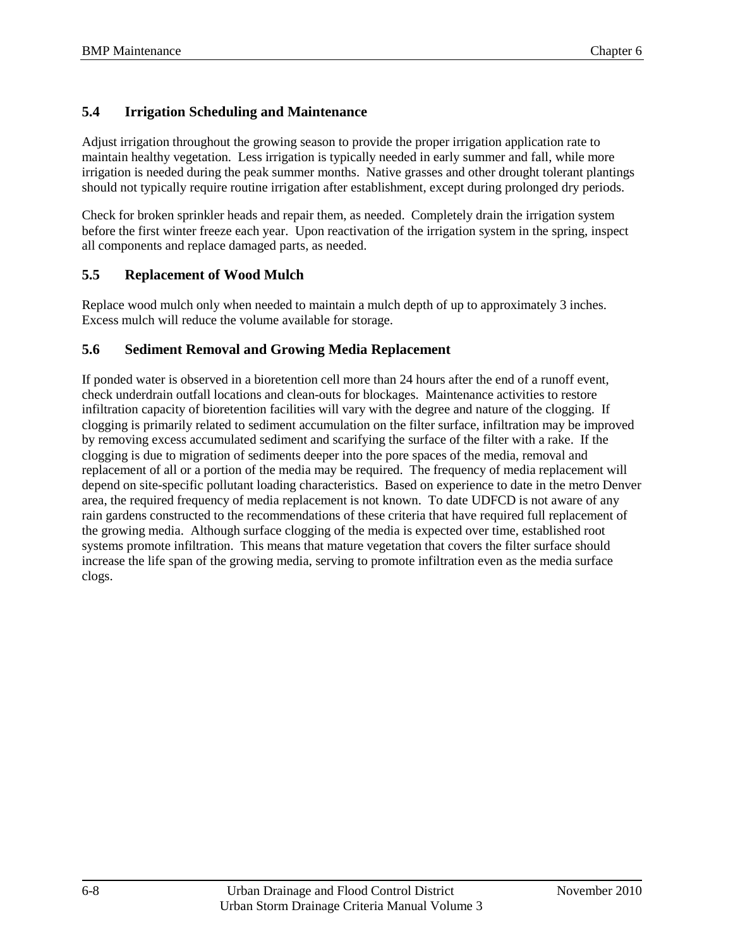#### <span id="page-9-0"></span>**5.4 Irrigation Scheduling and Maintenance**

Adjust irrigation throughout the growing season to provide the proper irrigation application rate to maintain healthy vegetation. Less irrigation is typically needed in early summer and fall, while more irrigation is needed during the peak summer months. Native grasses and other drought tolerant plantings should not typically require routine irrigation after establishment, except during prolonged dry periods.

Check for broken sprinkler heads and repair them, as needed. Completely drain the irrigation system before the first winter freeze each year. Upon reactivation of the irrigation system in the spring, inspect all components and replace damaged parts, as needed.

#### <span id="page-9-1"></span>**5.5 Replacement of Wood Mulch**

Replace wood mulch only when needed to maintain a mulch depth of up to approximately 3 inches. Excess mulch will reduce the volume available for storage.

#### <span id="page-9-2"></span>**5.6 Sediment Removal and Growing Media Replacement**

If ponded water is observed in a bioretention cell more than 24 hours after the end of a runoff event, check underdrain outfall locations and clean-outs for blockages. Maintenance activities to restore infiltration capacity of bioretention facilities will vary with the degree and nature of the clogging. If clogging is primarily related to sediment accumulation on the filter surface, infiltration may be improved by removing excess accumulated sediment and scarifying the surface of the filter with a rake. If the clogging is due to migration of sediments deeper into the pore spaces of the media, removal and replacement of all or a portion of the media may be required. The frequency of media replacement will depend on site-specific pollutant loading characteristics. Based on experience to date in the metro Denver area, the required frequency of media replacement is not known. To date UDFCD is not aware of any rain gardens constructed to the recommendations of these criteria that have required full replacement of the growing media. Although surface clogging of the media is expected over time, established root systems promote infiltration. This means that mature vegetation that covers the filter surface should increase the life span of the growing media, serving to promote infiltration even as the media surface clogs.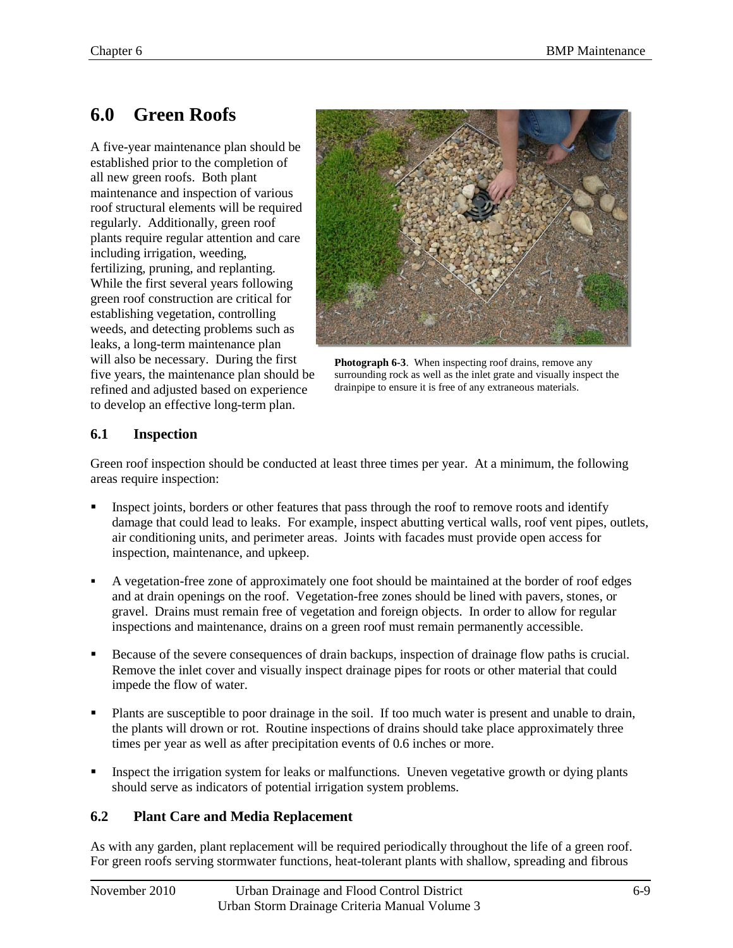### <span id="page-10-0"></span>**6.0 Green Roofs**

A five-year maintenance plan should be established prior to the completion of all new green roofs. Both plant maintenance and inspection of various roof structural elements will be required regularly. Additionally, green roof plants require regular attention and care including irrigation, weeding, fertilizing, pruning, and replanting. While the first several years following green roof construction are critical for establishing vegetation, controlling weeds, and detecting problems such as leaks, a long-term maintenance plan will also be necessary. During the first five years, the maintenance plan should be refined and adjusted based on experience to develop an effective long-term plan.



**Photograph 6-3**. When inspecting roof drains, remove any surrounding rock as well as the inlet grate and visually inspect the drainpipe to ensure it is free of any extraneous materials.

#### <span id="page-10-1"></span>**6.1 Inspection**

Green roof inspection should be conducted at least three times per year. At a minimum, the following areas require inspection:

- Inspect joints, borders or other features that pass through the roof to remove roots and identify damage that could lead to leaks. For example, inspect abutting vertical walls, roof vent pipes, outlets, air conditioning units, and perimeter areas. Joints with facades must provide open access for inspection, maintenance, and upkeep.
- A vegetation-free zone of approximately one foot should be maintained at the border of roof edges and at drain openings on the roof. Vegetation-free zones should be lined with pavers, stones, or gravel. Drains must remain free of vegetation and foreign objects. In order to allow for regular inspections and maintenance, drains on a green roof must remain permanently accessible.
- Because of the severe consequences of drain backups, inspection of drainage flow paths is crucial. Remove the inlet cover and visually inspect drainage pipes for roots or other material that could impede the flow of water.
- Plants are susceptible to poor drainage in the soil. If too much water is present and unable to drain, the plants will drown or rot. Routine inspections of drains should take place approximately three times per year as well as after precipitation events of 0.6 inches or more.
- Inspect the irrigation system for leaks or malfunctions. Uneven vegetative growth or dying plants should serve as indicators of potential irrigation system problems.

#### <span id="page-10-2"></span>**6.2 Plant Care and Media Replacement**

As with any garden, plant replacement will be required periodically throughout the life of a green roof. For green roofs serving stormwater functions, heat-tolerant plants with shallow, spreading and fibrous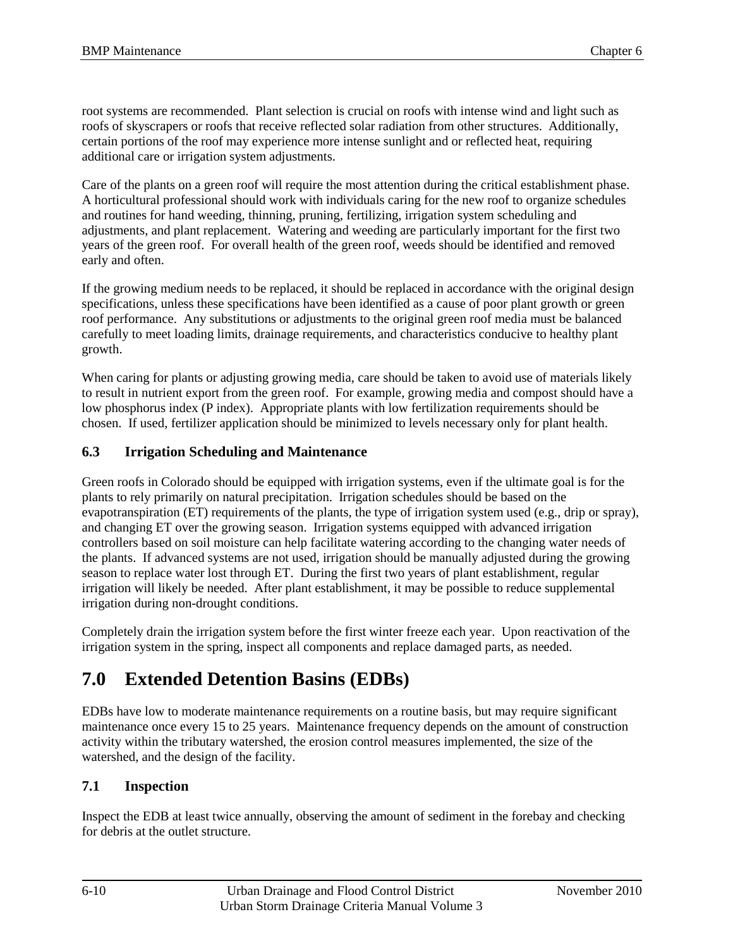root systems are recommended. Plant selection is crucial on roofs with intense wind and light such as roofs of skyscrapers or roofs that receive reflected solar radiation from other structures. Additionally, certain portions of the roof may experience more intense sunlight and or reflected heat, requiring additional care or irrigation system adjustments.

Care of the plants on a green roof will require the most attention during the critical establishment phase. A horticultural professional should work with individuals caring for the new roof to organize schedules and routines for hand weeding, thinning, pruning, fertilizing, irrigation system scheduling and adjustments, and plant replacement. Watering and weeding are particularly important for the first two years of the green roof. For overall health of the green roof, weeds should be identified and removed early and often.

If the growing medium needs to be replaced, it should be replaced in accordance with the original design specifications, unless these specifications have been identified as a cause of poor plant growth or green roof performance. Any substitutions or adjustments to the original green roof media must be balanced carefully to meet loading limits, drainage requirements, and characteristics conducive to healthy plant growth.

When caring for plants or adjusting growing media, care should be taken to avoid use of materials likely to result in nutrient export from the green roof. For example, growing media and compost should have a low phosphorus index (P index). Appropriate plants with low fertilization requirements should be chosen. If used, fertilizer application should be minimized to levels necessary only for plant health.

#### <span id="page-11-0"></span>**6.3 Irrigation Scheduling and Maintenance**

Green roofs in Colorado should be equipped with irrigation systems, even if the ultimate goal is for the plants to rely primarily on natural precipitation. Irrigation schedules should be based on the evapotranspiration (ET) requirements of the plants, the type of irrigation system used (e.g., drip or spray), and changing ET over the growing season. Irrigation systems equipped with advanced irrigation controllers based on soil moisture can help facilitate watering according to the changing water needs of the plants. If advanced systems are not used, irrigation should be manually adjusted during the growing season to replace water lost through ET. During the first two years of plant establishment, regular irrigation will likely be needed. After plant establishment, it may be possible to reduce supplemental irrigation during non-drought conditions.

Completely drain the irrigation system before the first winter freeze each year. Upon reactivation of the irrigation system in the spring, inspect all components and replace damaged parts, as needed.

### <span id="page-11-1"></span>**7.0 Extended Detention Basins (EDBs)**

EDBs have low to moderate maintenance requirements on a routine basis, but may require significant maintenance once every 15 to 25 years. Maintenance frequency depends on the amount of construction activity within the tributary watershed, the erosion control measures implemented, the size of the watershed, and the design of the facility.

#### <span id="page-11-2"></span>**7.1 Inspection**

Inspect the EDB at least twice annually, observing the amount of sediment in the forebay and checking for debris at the outlet structure.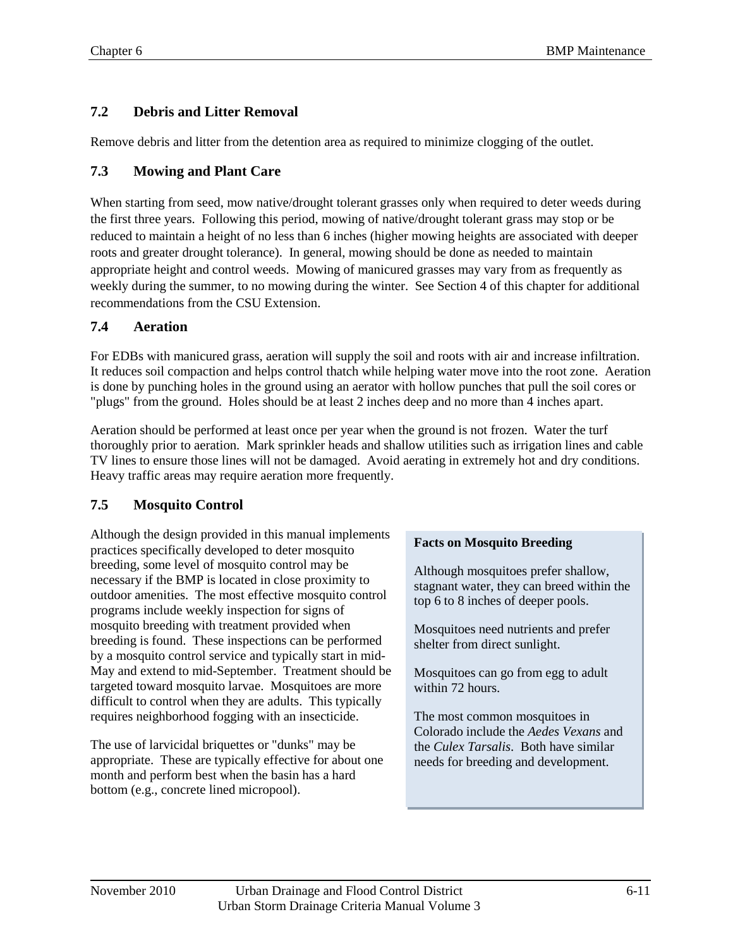#### <span id="page-12-0"></span>**7.2 Debris and Litter Removal**

Remove debris and litter from the detention area as required to minimize clogging of the outlet.

#### <span id="page-12-1"></span>**7.3 Mowing and Plant Care**

When starting from seed, mow native/drought tolerant grasses only when required to deter weeds during the first three years. Following this period, mowing of native/drought tolerant grass may stop or be reduced to maintain a height of no less than 6 inches (higher mowing heights are associated with deeper roots and greater drought tolerance). In general, mowing should be done as needed to maintain appropriate height and control weeds. Mowing of manicured grasses may vary from as frequently as weekly during the summer, to no mowing during the winter. See Section 4 of this chapter for additional recommendations from the CSU Extension.

#### <span id="page-12-2"></span>**7.4 Aeration**

For EDBs with manicured grass, aeration will supply the soil and roots with air and increase infiltration. It reduces soil compaction and helps control thatch while helping water move into the root zone. Aeration is done by punching holes in the ground using an aerator with hollow punches that pull the soil cores or "plugs" from the ground. Holes should be at least 2 inches deep and no more than 4 inches apart.

Aeration should be performed at least once per year when the ground is not frozen. Water the turf thoroughly prior to aeration. Mark sprinkler heads and shallow utilities such as irrigation lines and cable TV lines to ensure those lines will not be damaged. Avoid aerating in extremely hot and dry conditions. Heavy traffic areas may require aeration more frequently.

#### <span id="page-12-3"></span>**7.5 Mosquito Control**

Although the design provided in this manual implements practices specifically developed to deter mosquito breeding, some level of mosquito control may be necessary if the BMP is located in close proximity to outdoor amenities. The most effective mosquito control programs include weekly inspection for signs of mosquito breeding with treatment provided when breeding is found. These inspections can be performed by a mosquito control service and typically start in mid-May and extend to mid-September. Treatment should be targeted toward mosquito larvae. Mosquitoes are more difficult to control when they are adults. This typically requires neighborhood fogging with an insecticide.

The use of larvicidal briquettes or "dunks" may be appropriate. These are typically effective for about one month and perform best when the basin has a hard bottom (e.g., concrete lined micropool).

#### **Facts on Mosquito Breeding**

Although mosquitoes prefer shallow, stagnant water, they can breed within the top 6 to 8 inches of deeper pools.

Mosquitoes need nutrients and prefer shelter from direct sunlight.

Mosquitoes can go from egg to adult within 72 hours.

The most common mosquitoes in Colorado include the *Aedes Vexans* and the *Culex Tarsalis*. Both have similar needs for breeding and development.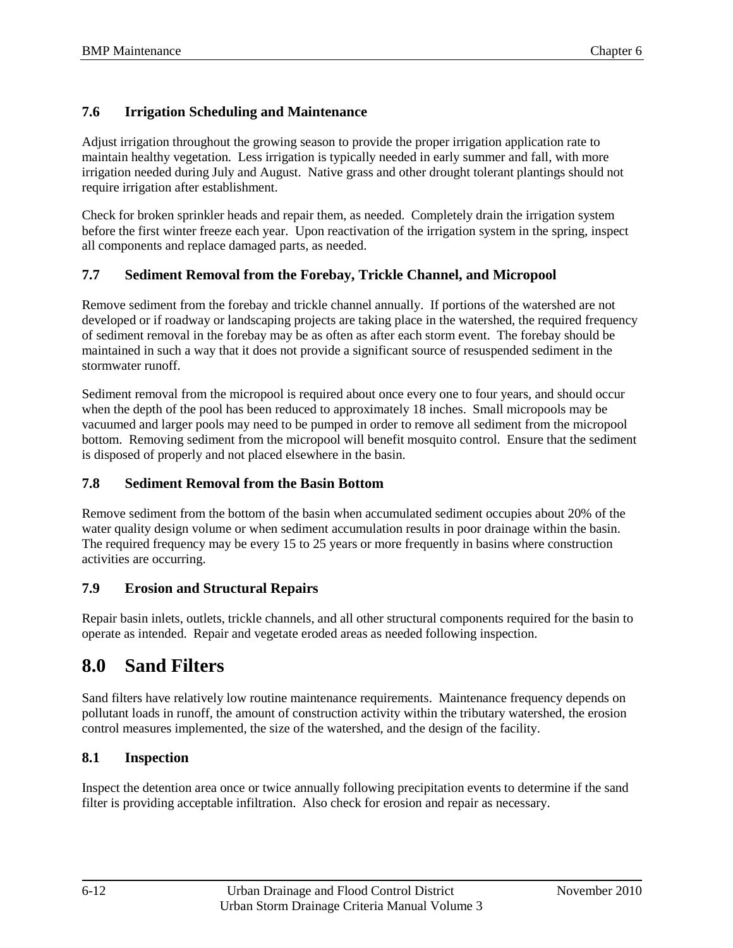#### <span id="page-13-0"></span>**7.6 Irrigation Scheduling and Maintenance**

Adjust irrigation throughout the growing season to provide the proper irrigation application rate to maintain healthy vegetation. Less irrigation is typically needed in early summer and fall, with more irrigation needed during July and August. Native grass and other drought tolerant plantings should not require irrigation after establishment.

Check for broken sprinkler heads and repair them, as needed. Completely drain the irrigation system before the first winter freeze each year. Upon reactivation of the irrigation system in the spring, inspect all components and replace damaged parts, as needed.

#### <span id="page-13-1"></span>**7.7 Sediment Removal from the Forebay, Trickle Channel, and Micropool**

Remove sediment from the forebay and trickle channel annually. If portions of the watershed are not developed or if roadway or landscaping projects are taking place in the watershed, the required frequency of sediment removal in the forebay may be as often as after each storm event. The forebay should be maintained in such a way that it does not provide a significant source of resuspended sediment in the stormwater runoff.

Sediment removal from the micropool is required about once every one to four years, and should occur when the depth of the pool has been reduced to approximately 18 inches. Small micropools may be vacuumed and larger pools may need to be pumped in order to remove all sediment from the micropool bottom. Removing sediment from the micropool will benefit mosquito control. Ensure that the sediment is disposed of properly and not placed elsewhere in the basin.

#### <span id="page-13-2"></span>**7.8 Sediment Removal from the Basin Bottom**

Remove sediment from the bottom of the basin when accumulated sediment occupies about 20% of the water quality design volume or when sediment accumulation results in poor drainage within the basin. The required frequency may be every 15 to 25 years or more frequently in basins where construction activities are occurring.

#### <span id="page-13-3"></span>**7.9 Erosion and Structural Repairs**

Repair basin inlets, outlets, trickle channels, and all other structural components required for the basin to operate as intended. Repair and vegetate eroded areas as needed following inspection.

### <span id="page-13-4"></span>**8.0 Sand Filters**

Sand filters have relatively low routine maintenance requirements. Maintenance frequency depends on pollutant loads in runoff, the amount of construction activity within the tributary watershed, the erosion control measures implemented, the size of the watershed, and the design of the facility.

#### <span id="page-13-5"></span>**8.1 Inspection**

Inspect the detention area once or twice annually following precipitation events to determine if the sand filter is providing acceptable infiltration. Also check for erosion and repair as necessary.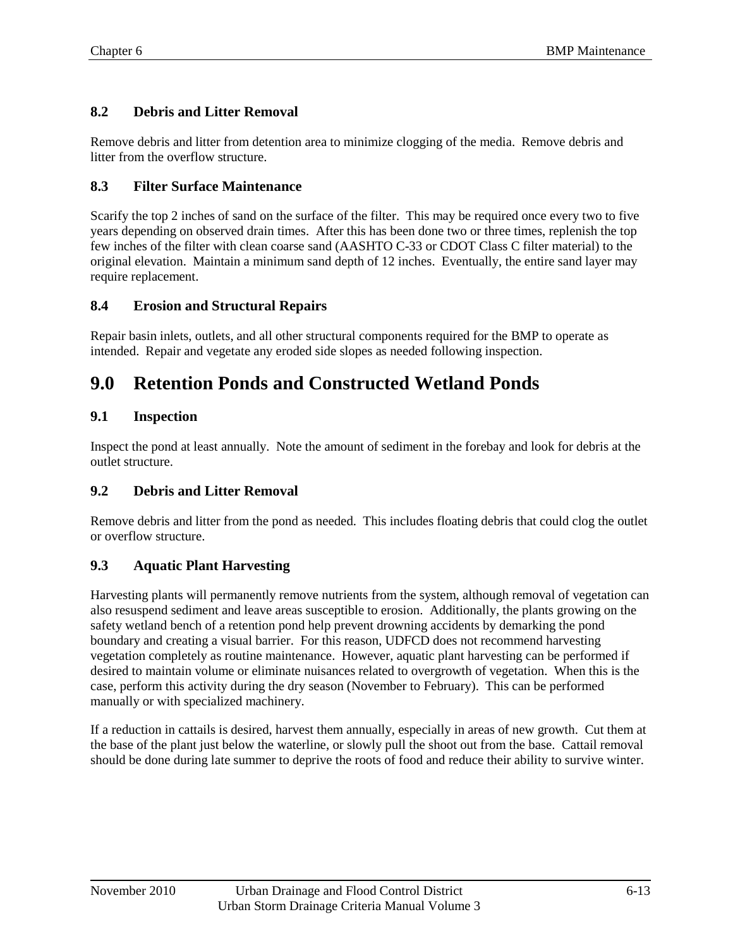#### <span id="page-14-0"></span>**8.2 Debris and Litter Removal**

Remove debris and litter from detention area to minimize clogging of the media. Remove debris and litter from the overflow structure.

#### <span id="page-14-1"></span>**8.3 Filter Surface Maintenance**

Scarify the top 2 inches of sand on the surface of the filter. This may be required once every two to five years depending on observed drain times. After this has been done two or three times, replenish the top few inches of the filter with clean coarse sand (AASHTO C-33 or CDOT Class C filter material) to the original elevation. Maintain a minimum sand depth of 12 inches. Eventually, the entire sand layer may require replacement.

#### <span id="page-14-2"></span>**8.4 Erosion and Structural Repairs**

Repair basin inlets, outlets, and all other structural components required for the BMP to operate as intended. Repair and vegetate any eroded side slopes as needed following inspection.

### <span id="page-14-3"></span>**9.0 Retention Ponds and Constructed Wetland Ponds**

#### <span id="page-14-4"></span>**9.1 Inspection**

Inspect the pond at least annually. Note the amount of sediment in the forebay and look for debris at the outlet structure.

#### <span id="page-14-5"></span>**9.2 Debris and Litter Removal**

Remove debris and litter from the pond as needed. This includes floating debris that could clog the outlet or overflow structure.

#### <span id="page-14-6"></span>**9.3 Aquatic Plant Harvesting**

Harvesting plants will permanently remove nutrients from the system, although removal of vegetation can also resuspend sediment and leave areas susceptible to erosion. Additionally, the plants growing on the safety wetland bench of a retention pond help prevent drowning accidents by demarking the pond boundary and creating a visual barrier. For this reason, UDFCD does not recommend harvesting vegetation completely as routine maintenance. However, aquatic plant harvesting can be performed if desired to maintain volume or eliminate nuisances related to overgrowth of vegetation. When this is the case, perform this activity during the dry season (November to February). This can be performed manually or with specialized machinery.

If a reduction in cattails is desired, harvest them annually, especially in areas of new growth. Cut them at the base of the plant just below the waterline, or slowly pull the shoot out from the base. Cattail removal should be done during late summer to deprive the roots of food and reduce their ability to survive winter.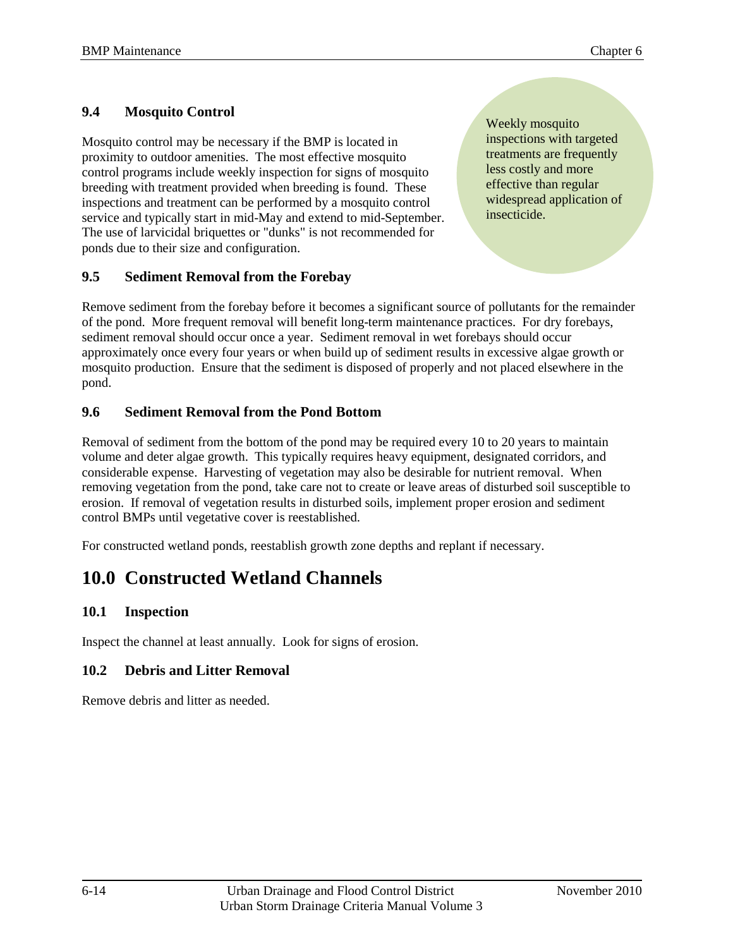#### <span id="page-15-0"></span>**9.4 Mosquito Control**

Mosquito control may be necessary if the BMP is located in proximity to outdoor amenities. The most effective mosquito control programs include weekly inspection for signs of mosquito breeding with treatment provided when breeding is found. These inspections and treatment can be performed by a mosquito control service and typically start in mid-May and extend to mid-September. The use of larvicidal briquettes or "dunks" is not recommended for ponds due to their size and configuration.

#### <span id="page-15-1"></span>**9.5 Sediment Removal from the Forebay**

Weekly mosquito inspections with targeted treatments are frequently less costly and more effective than regular widespread application of insecticide.

Remove sediment from the forebay before it becomes a significant source of pollutants for the remainder of the pond. More frequent removal will benefit long-term maintenance practices. For dry forebays, sediment removal should occur once a year. Sediment removal in wet forebays should occur approximately once every four years or when build up of sediment results in excessive algae growth or mosquito production. Ensure that the sediment is disposed of properly and not placed elsewhere in the pond.

#### <span id="page-15-2"></span>**9.6 Sediment Removal from the Pond Bottom**

Removal of sediment from the bottom of the pond may be required every 10 to 20 years to maintain volume and deter algae growth. This typically requires heavy equipment, designated corridors, and considerable expense. Harvesting of vegetation may also be desirable for nutrient removal. When removing vegetation from the pond, take care not to create or leave areas of disturbed soil susceptible to erosion. If removal of vegetation results in disturbed soils, implement proper erosion and sediment control BMPs until vegetative cover is reestablished.

For constructed wetland ponds, reestablish growth zone depths and replant if necessary.

### <span id="page-15-3"></span>**10.0 Constructed Wetland Channels**

#### <span id="page-15-4"></span>**10.1 Inspection**

Inspect the channel at least annually. Look for signs of erosion.

#### <span id="page-15-5"></span>**10.2 Debris and Litter Removal**

Remove debris and litter as needed.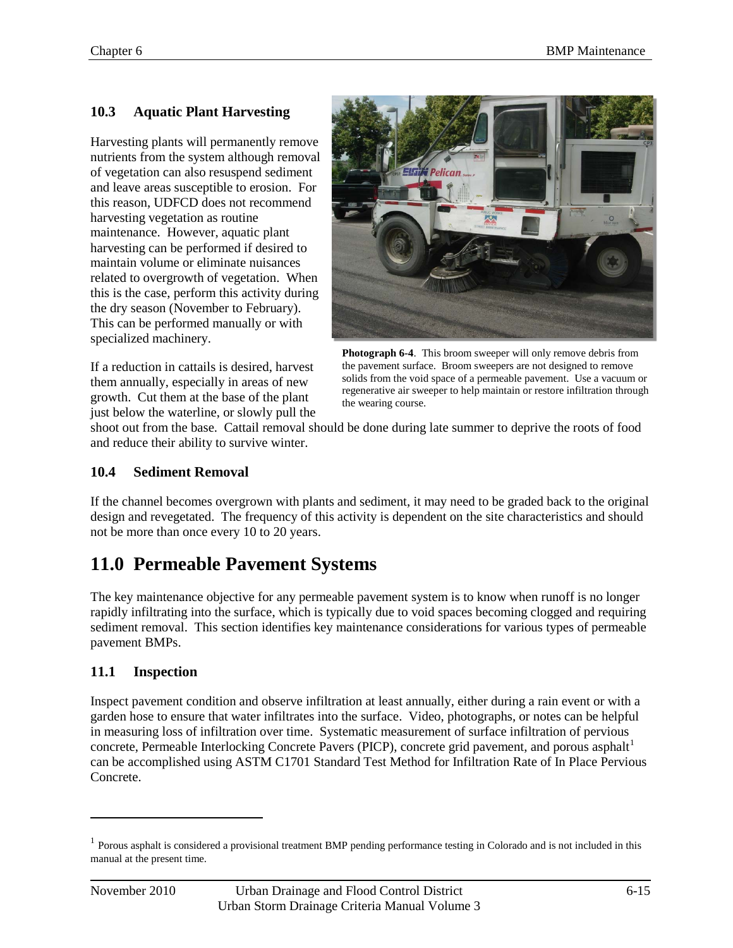#### <span id="page-16-0"></span>**10.3 Aquatic Plant Harvesting**

Harvesting plants will permanently remove nutrients from the system although removal of vegetation can also resuspend sediment and leave areas susceptible to erosion. For this reason, UDFCD does not recommend harvesting vegetation as routine maintenance. However, aquatic plant harvesting can be performed if desired to maintain volume or eliminate nuisances related to overgrowth of vegetation. When this is the case, perform this activity during the dry season (November to February). This can be performed manually or with specialized machinery.

If a reduction in cattails is desired, harvest them annually, especially in areas of new growth. Cut them at the base of the plant just below the waterline, or slowly pull the



**Photograph 6-4**. This broom sweeper will only remove debris from the pavement surface. Broom sweepers are not designed to remove solids from the void space of a permeable pavement. Use a vacuum or regenerative air sweeper to help maintain or restore infiltration through the wearing course.

shoot out from the base. Cattail removal should be done during late summer to deprive the roots of food and reduce their ability to survive winter.

#### <span id="page-16-1"></span>**10.4 Sediment Removal**

If the channel becomes overgrown with plants and sediment, it may need to be graded back to the original design and revegetated. The frequency of this activity is dependent on the site characteristics and should not be more than once every 10 to 20 years.

### <span id="page-16-2"></span>**11.0 Permeable Pavement Systems**

The key maintenance objective for any permeable pavement system is to know when runoff is no longer rapidly infiltrating into the surface, which is typically due to void spaces becoming clogged and requiring sediment removal. This section identifies key maintenance considerations for various types of permeable pavement BMPs.

#### <span id="page-16-3"></span>**11.1 Inspection**

Inspect pavement condition and observe infiltration at least annually, either during a rain event or with a garden hose to ensure that water infiltrates into the surface. Video, photographs, or notes can be helpful in measuring loss of infiltration over time. Systematic measurement of surface infiltration of pervious concrete, Permeable Interlocking Concrete Pavers (PICP), concrete grid pavement, and porous asphalt<sup>[1](#page-16-4)</sup> can be accomplished using ASTM C1701 Standard Test Method for Infiltration Rate of In Place Pervious Concrete.

 $\overline{a}$ 

<span id="page-16-4"></span><sup>&</sup>lt;sup>1</sup> Porous asphalt is considered a provisional treatment BMP pending performance testing in Colorado and is not included in this manual at the present time.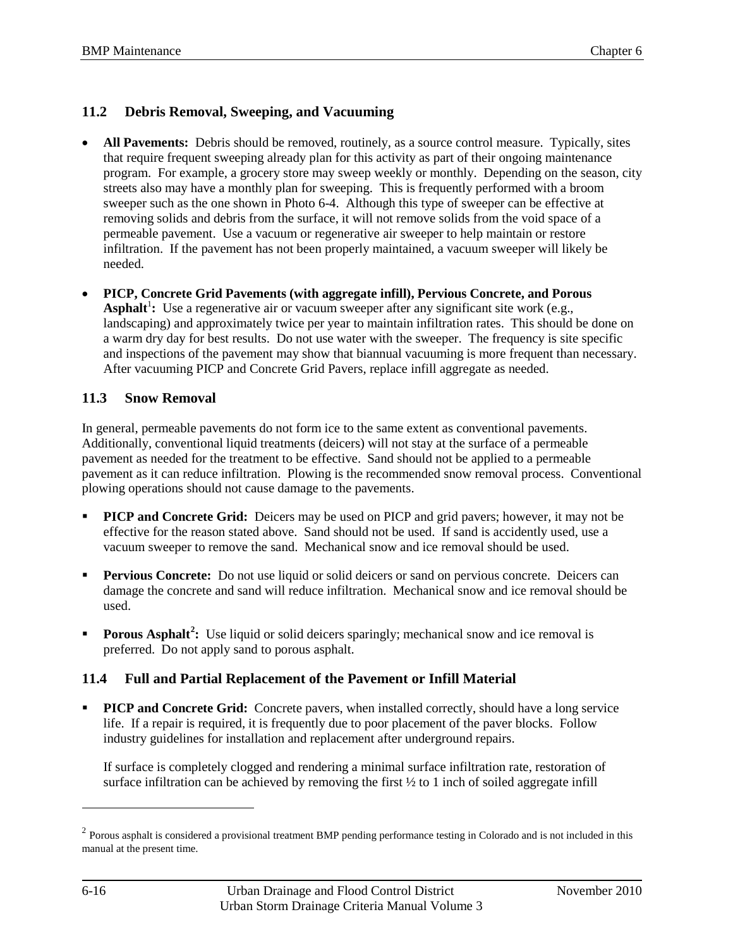#### <span id="page-17-0"></span>**11.2 Debris Removal, Sweeping, and Vacuuming**

- **All Pavements:** Debris should be removed, routinely, as a source control measure. Typically, sites that require frequent sweeping already plan for this activity as part of their ongoing maintenance program. For example, a grocery store may sweep weekly or monthly. Depending on the season, city streets also may have a monthly plan for sweeping. This is frequently performed with a broom sweeper such as the one shown in Photo 6-4. Although this type of sweeper can be effective at removing solids and debris from the surface, it will not remove solids from the void space of a permeable pavement. Use a vacuum or regenerative air sweeper to help maintain or restore infiltration. If the pavement has not been properly maintained, a vacuum sweeper will likely be needed.
- **PICP, Concrete Grid Pavements (with aggregate infill), Pervious Concrete, and Porous**  Asphalt<sup>1</sup>: Use a regenerative air or vacuum sweeper after any significant site work (e.g., landscaping) and approximately twice per year to maintain infiltration rates. This should be done on a warm dry day for best results. Do not use water with the sweeper. The frequency is site specific and inspections of the pavement may show that biannual vacuuming is more frequent than necessary. After vacuuming PICP and Concrete Grid Pavers, replace infill aggregate as needed.

#### <span id="page-17-1"></span>**11.3 Snow Removal**

In general, permeable pavements do not form ice to the same extent as conventional pavements. Additionally, conventional liquid treatments (deicers) will not stay at the surface of a permeable pavement as needed for the treatment to be effective. Sand should not be applied to a permeable pavement as it can reduce infiltration. Plowing is the recommended snow removal process. Conventional plowing operations should not cause damage to the pavements.

- **PICP and Concrete Grid:** Deicers may be used on PICP and grid pavers; however, it may not be effective for the reason stated above. Sand should not be used. If sand is accidently used, use a vacuum sweeper to remove the sand. Mechanical snow and ice removal should be used.
- **Pervious Concrete:** Do not use liquid or solid deicers or sand on pervious concrete. Deicers can damage the concrete and sand will reduce infiltration. Mechanical snow and ice removal should be used.
- **Porous Asphalt<sup>[2](#page-17-3)</sup>:** Use liquid or solid deicers sparingly; mechanical snow and ice removal is preferred. Do not apply sand to porous asphalt.

#### <span id="page-17-2"></span>**11.4 Full and Partial Replacement of the Pavement or Infill Material**

**PICP and Concrete Grid:** Concrete pavers, when installed correctly, should have a long service life. If a repair is required, it is frequently due to poor placement of the paver blocks. Follow industry guidelines for installation and replacement after underground repairs.

If surface is completely clogged and rendering a minimal surface infiltration rate, restoration of surface infiltration can be achieved by removing the first  $\frac{1}{2}$  to 1 inch of soiled aggregate infill

 $\overline{a}$ 

<span id="page-17-3"></span> $2$  Porous asphalt is considered a provisional treatment BMP pending performance testing in Colorado and is not included in this manual at the present time.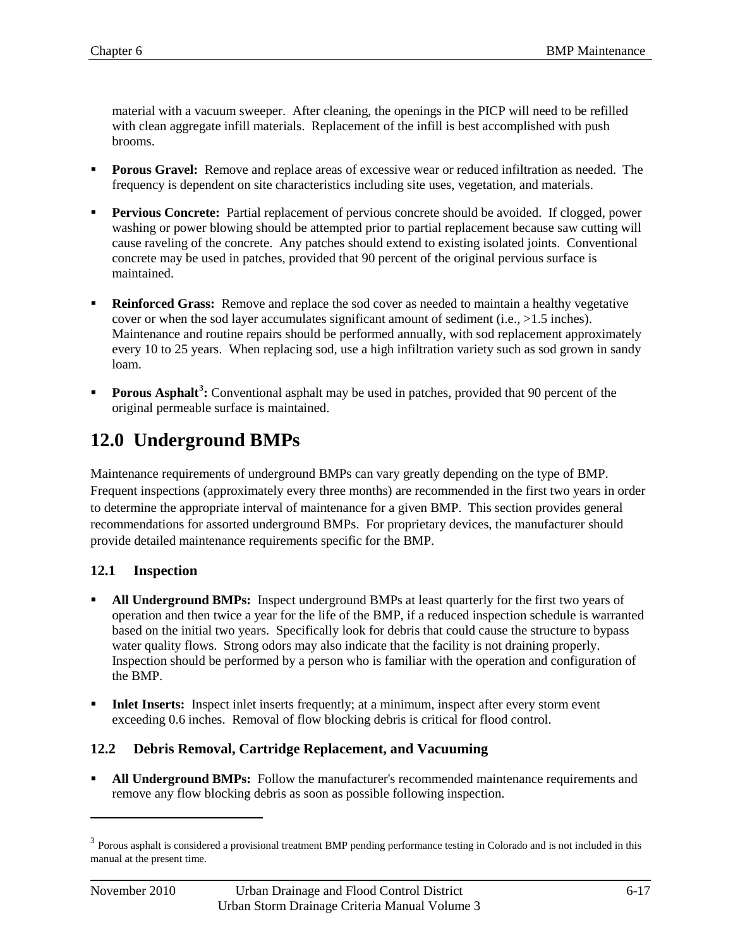material with a vacuum sweeper. After cleaning, the openings in the PICP will need to be refilled with clean aggregate infill materials. Replacement of the infill is best accomplished with push brooms.

- **Porous Gravel:** Remove and replace areas of excessive wear or reduced infiltration as needed. The frequency is dependent on site characteristics including site uses, vegetation, and materials.
- **Pervious Concrete:** Partial replacement of pervious concrete should be avoided. If clogged, power washing or power blowing should be attempted prior to partial replacement because saw cutting will cause raveling of the concrete. Any patches should extend to existing isolated joints. Conventional concrete may be used in patches, provided that 90 percent of the original pervious surface is maintained.
- **Reinforced Grass:** Remove and replace the sod cover as needed to maintain a healthy vegetative cover or when the sod layer accumulates significant amount of sediment (i.e.,  $>1.5$  inches). Maintenance and routine repairs should be performed annually, with sod replacement approximately every 10 to 25 years. When replacing sod, use a high infiltration variety such as sod grown in sandy loam.
- **Porous Asphalt<sup>[3](#page-18-3)</sup>:** Conventional asphalt may be used in patches, provided that 90 percent of the original permeable surface is maintained.

# <span id="page-18-0"></span>**12.0 Underground BMPs**

Maintenance requirements of underground BMPs can vary greatly depending on the type of BMP. Frequent inspections (approximately every three months) are recommended in the first two years in order to determine the appropriate interval of maintenance for a given BMP. This section provides general recommendations for assorted underground BMPs. For proprietary devices, the manufacturer should provide detailed maintenance requirements specific for the BMP.

#### <span id="page-18-1"></span>**12.1 Inspection**

- **All Underground BMPs:** Inspect underground BMPs at least quarterly for the first two years of operation and then twice a year for the life of the BMP, if a reduced inspection schedule is warranted based on the initial two years. Specifically look for debris that could cause the structure to bypass water quality flows. Strong odors may also indicate that the facility is not draining properly. Inspection should be performed by a person who is familiar with the operation and configuration of the BMP.
- **Inlet Inserts:** Inspect inlet inserts frequently; at a minimum, inspect after every storm event exceeding 0.6 inches. Removal of flow blocking debris is critical for flood control.

#### <span id="page-18-2"></span>**12.2 Debris Removal, Cartridge Replacement, and Vacuuming**

**• All Underground BMPs:** Follow the manufacturer's recommended maintenance requirements and remove any flow blocking debris as soon as possible following inspection.

 $\overline{a}$ 

<span id="page-18-3"></span> $3$  Porous asphalt is considered a provisional treatment BMP pending performance testing in Colorado and is not included in this manual at the present time.